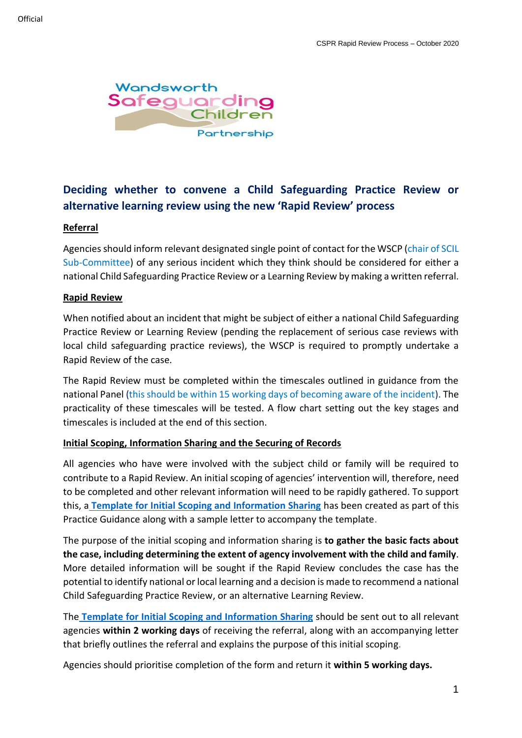

# **Deciding whether to convene a Child Safeguarding Practice Review or alternative learning review using the new 'Rapid Review' process**

#### **Referral**

Agencies should inform relevant designated single point of contact for the WSCP (chair of SCIL Sub-Committee) of any serious incident which they think should be considered for either a national Child Safeguarding Practice Review or a Learning Review by making a written referral.

#### **Rapid Review**

When notified about an incident that might be subject of either a national Child Safeguarding Practice Review or Learning Review (pending the replacement of serious case reviews with local child safeguarding practice reviews), the WSCP is required to promptly undertake a Rapid Review of the case.

The Rapid Review must be completed within the timescales outlined in guidance from the national Panel (this should be within 15 working days of becoming aware of the incident). The practicality of these timescales will be tested. A flow chart setting out the key stages and timescales is included at the end of this section.

#### **Initial Scoping, Information Sharing and the Securing of Records**

All agencies who have were involved with the subject child or family will be required to contribute to a Rapid Review. An initial scoping of agencies' intervention will, therefore, need to be completed and other relevant information will need to be rapidly gathered. To support this, a **[Template for Initial Scoping and Information Sharing](file://///Wbcphfil01.wbc.lan/social/Groups/Cpu/WSCB/SCIL%20Sub-Committee/Rapid%20Review%20Process/Initial%20Scoping%20and%20Information%20Sharing%20Template%202019.docx)** has been created as part of this Practice Guidance along with a sample letter to accompany the template.

The purpose of the initial scoping and information sharing is **to gather the basic facts about the case, including determining the extent of agency involvement with the child and family**. More detailed information will be sought if the Rapid Review concludes the case has the potential to identify national or local learning and a decision is made to recommend a national Child Safeguarding Practice Review, or an alternative Learning Review.

The **[Template for Initial Scoping and Information Sharing](file://///Wbcphfil01.wbc.lan/social/Groups/Cpu/WSCB/SCIL%20Sub-Committee/Rapid%20Review%20Process/Initial%20Scoping%20and%20Information%20Sharing%20Template%202019.docx)** should be sent out to all relevant agencies **within 2 working days** of receiving the referral, along with an accompanying letter that briefly outlines the referral and explains the purpose of this initial scoping.

Agencies should prioritise completion of the form and return it **within 5 working days.**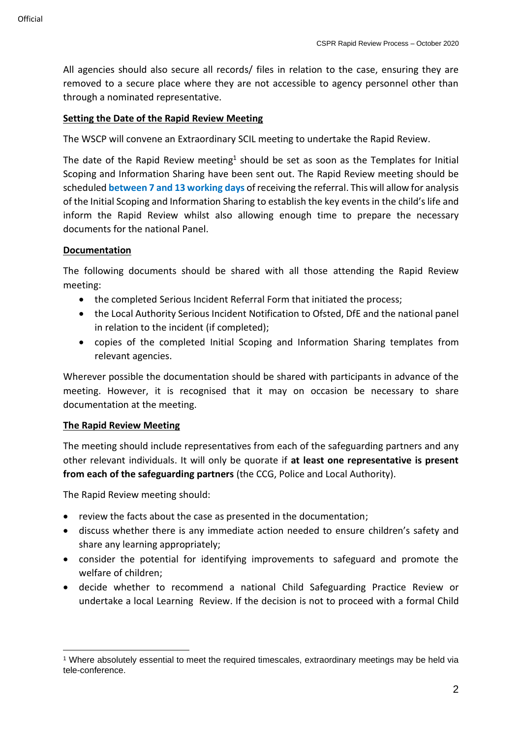All agencies should also secure all records/ files in relation to the case, ensuring they are removed to a secure place where they are not accessible to agency personnel other than through a nominated representative.

### **Setting the Date of the Rapid Review Meeting**

The WSCP will convene an Extraordinary SCIL meeting to undertake the Rapid Review.

The date of the Rapid Review meeting<sup>1</sup> should be set as soon as the Templates for Initial Scoping and Information Sharing have been sent out. The Rapid Review meeting should be scheduled **between 7 and 13 working days** of receiving the referral. This will allow for analysis of the Initial Scoping and Information Sharing to establish the key events in the child's life and inform the Rapid Review whilst also allowing enough time to prepare the necessary documents for the national Panel.

### **Documentation**

The following documents should be shared with all those attending the Rapid Review meeting:

- the completed Serious Incident Referral Form that initiated the process;
- the Local Authority Serious Incident Notification to Ofsted, DfE and the national panel in relation to the incident (if completed);
- copies of the completed Initial Scoping and Information Sharing templates from relevant agencies.

Wherever possible the documentation should be shared with participants in advance of the meeting. However, it is recognised that it may on occasion be necessary to share documentation at the meeting.

#### **The Rapid Review Meeting**

The meeting should include representatives from each of the safeguarding partners and any other relevant individuals. It will only be quorate if **at least one representative is present from each of the safeguarding partners** (the CCG, Police and Local Authority).

The Rapid Review meeting should:

- review the facts about the case as presented in the documentation;
- discuss whether there is any immediate action needed to ensure children's safety and share any learning appropriately;
- consider the potential for identifying improvements to safeguard and promote the welfare of children;
- decide whether to recommend a national Child Safeguarding Practice Review or undertake a local Learning Review. If the decision is not to proceed with a formal Child

<sup>1</sup> Where absolutely essential to meet the required timescales, extraordinary meetings may be held via tele-conference.